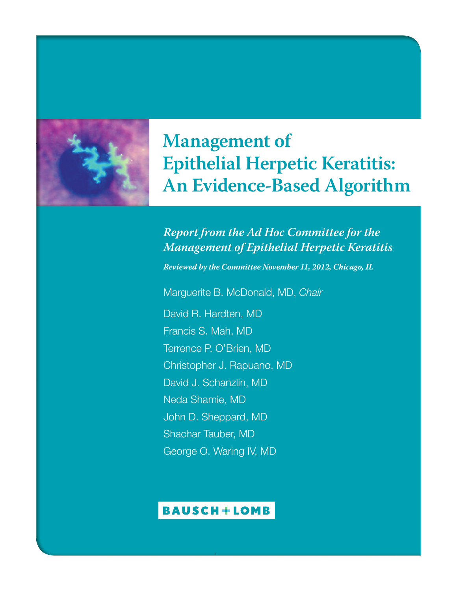

### **Management of Epithelial Herpetic Keratitis: An Evidence-Based Algorithm**

#### *Report from the Ad Hoc Committee for the Management of Epithelial Herpetic Keratitis*

*Reviewed by the Committee November 11, 2012, Chicago, IL*

Marguerite B. McDonald, MD, *Chair* David R. Hardten, MD Francis S. Mah, MD Terrence P. O'Brien, MD Christopher J. Rapuano, MD David J. Schanzlin, MD Neda Shamie, MD John D. Sheppard, MD Shachar Tauber, MD George O. Waring IV, MD

#### **BAUSCH+LOMB**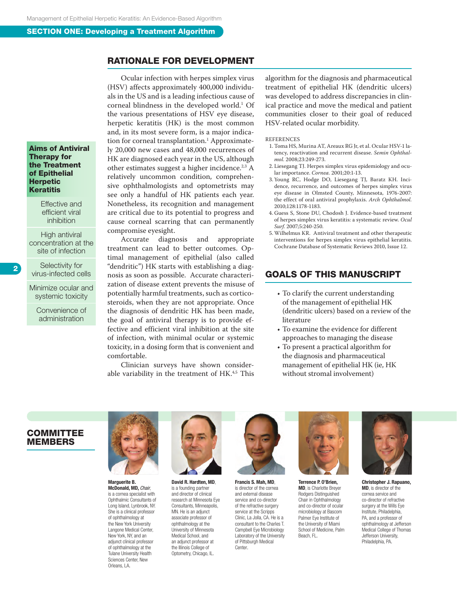#### Rationale for development

Aims of Antiviral Therapy for the Treatment of Epithelial **Herpetic Keratitis** 

> Effective and efficient viral inhibition

High antiviral concentration at the site of infection

Selectivity for virus-infected cells Minimize ocular and

systemic toxicity

Convenience of administration

Ocular infection with herpes simplex virus (HSV) affects approximately 400,000 individuals in the US and is a leading infectious cause of corneal blindness in the developed world.<sup>1</sup> Of the various presentations of HSV eye disease, herpetic keratitis (HK) is the most common and, in its most severe form, is a major indication for corneal transplantation.1 Approximately 20,000 new cases and 48,000 recurrences of HK are diagnosed each year in the US, although other estimates suggest a higher incidence.2,3 A relatively uncommon condition, comprehensive ophthalmologists and optometrists may see only a handful of HK patients each year. Nonetheless, its recognition and management are critical due to its potential to progress and cause corneal scarring that can permanently compromise eyesight.

Accurate diagnosis and appropriate treatment can lead to better outcomes. Optimal management of epithelial (also called "dendritic") HK starts with establishing a diagnosis as soon as possible. Accurate characterization of disease extent prevents the misuse of potentially harmful treatments, such as corticosteroids, when they are not appropriate. Once the diagnosis of dendritic HK has been made, the goal of antiviral therapy is to provide effective and efficient viral inhibition at the site of infection, with minimal ocular or systemic toxicity, in a dosing form that is convenient and comfortable.

Clinician surveys have shown considerable variability in the treatment of HK.<sup>4,5</sup> This

algorithm for the diagnosis and pharmaceutical treatment of epithelial HK (dendritic ulcers) was developed to address discrepancies in clinical practice and move the medical and patient communities closer to their goal of reduced HSV-related ocular morbidity.

#### **REFERENCES**

- 1. Toma HS, Murina AT, Areaux RG Jr, et al. Ocular HSV-1 latency, reactivation and recurrent disease. *Semin Ophthalmol.* 2008;23:249-273.
- 2. Liesegang TJ. Herpes simplex virus epidemiology and ocular importance. *Cornea.* 2001;20:1-13.
- 3. Young RC, Hodge DO, Liesegang TJ, Baratz KH. Incidence, recurrence, and outcomes of herpes simplex virus eye disease in Olmsted County, Minnesota, 1976-2007: the effect of oral antiviral prophylaxis. *Arch Ophthalmol.* 2010;128:1178-1183.
- 4. Guess S, Stone DU, Chodosh J. Evidence-based treatment of herpes simplex virus keratitis: a systematic review. *Ocul Surf.* 2007;5:240-250.
- 5. Wilhelmus KR. Antiviral treatment and other therapeutic interventions for herpes simplex virus epithelial keratitis. Cochrane Database of Systematic Reviews 2010, Issue 12.

#### Goals of this manuscript

- To clarify the current understanding of the management of epithelial HK (dendritic ulcers) based on a review of the literature
- To examine the evidence for different approaches to managing the disease
- To present a practical algorithm for the diagnosis and pharmaceutical management of epithelial HK (ie, HK without stromal involvement)

#### **COMMITTEE MEMBERS**



Marguerite B. McDonald, MD, *Chair*, is a cornea specialist with Ophthalmic Consultants of Long Island, Lynbrook, NY. She is a clinical professor of ophthalmology at the New York University Langone Medical Center, New York, NY, and an adiunct clinical professor of ophthalmology at the Tulane University Health Sciences Center, New Orleans, LA.



David R. Hardten, MD, is a founding partner and director of clinical research at Minnesota Eye Consultants, Minneapolis, MN. He is an adjunct associate professor of ophthalmology at the University of Minnesota Medical School, and an adiunct professor at the Illinois College of Optometry, Chicago, IL.



Francis S. Mah, MD, is director of the cornea and external disease service and co-director of the refractive surgery service at the Scripps Clinic, La Jolla, CA. He is a consultant to the Charles T. Campbell Eye Microbiology Laboratory of the University of Pittsburgh Medical Center.



Terrence P. O'Brien, MD, is Charlotte Breyer Rodgers Distinguished Chair in Ophthalmology and co-director of ocular microbiology at Bascom Palmer Eye Institute of the University of Miami School of Medicine, Palm Beach, FL.



Christopher J. Rapuano, MD, is director of the cornea service and co-director of refractive surgery at the Wills Eye Institute, Philadelphia, PA, and a professor of ophthalmology at Jefferson Medical College of Thomas Jefferson University, Philadelphia, PA.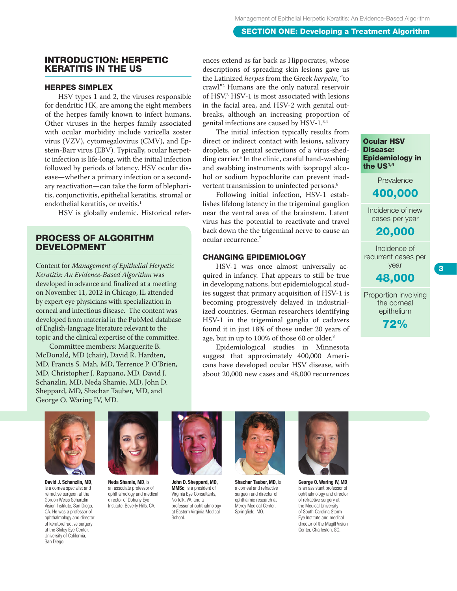#### Introduction: Herpetic Keratitis in the US

#### Herpes Simplex

HSV types 1 and 2, the viruses responsible for dendritic HK, are among the eight members of the herpes family known to infect humans. Other viruses in the herpes family associated with ocular morbidity include varicella zoster virus (VZV), cytomegalovirus (CMV), and Epstein-Barr virus (EBV). Typically, ocular herpetic infection is life-long, with the initial infection followed by periods of latency. HSV ocular disease—whether a primary infection or a secondary reactivation—can take the form of blepharitis, conjunctivitis, epithelial keratitis, stromal or endothelial keratitis, or uveitis.<sup>1</sup>

HSV is globally endemic. Historical refer-

#### Process of algorithm **DEVELOPMENT**

Content for *Management of Epithelial Herpetic Keratitis: An Evidence-Based Algorithm* was developed in advance and finalized at a meeting on November 11, 2012 in Chicago, IL attended by expert eye physicians with specialization in corneal and infectious disease. The content was developed from material in the PubMed database of English-language literature relevant to the topic and the clinical expertise of the committee.

Committee members: Marguerite B. McDonald, MD (chair), David R. Hardten, MD, Francis S. Mah, MD, Terrence P. O'Brien, MD, Christopher J. Rapuano, MD, David J. Schanzlin, MD, Neda Shamie, MD, John D. Sheppard, MD, Shachar Tauber, MD, and George O. Waring IV, MD.

ences extend as far back as Hippocrates, whose descriptions of spreading skin lesions gave us the Latinized *herpes* from the Greek *herpein*, "to crawl."2 Humans are the only natural reservoir of HSV.3 HSV-1 is most associated with lesions in the facial area, and HSV-2 with genital outbreaks, although an increasing proportion of genital infections are caused by HSV-1.3,4

The initial infection typically results from direct or indirect contact with lesions, salivary droplets, or genital secretions of a virus-shedding carrier.5 In the clinic, careful hand-washing and swabbing instruments with isopropyl alcohol or sodium hypochlorite can prevent inadvertent transmission to uninfected persons.<sup>6</sup>

Following initial infection, HSV-1 establishes lifelong latency in the trigeminal ganglion near the ventral area of the brainstem. Latent virus has the potential to reactivate and travel back down the the trigeminal nerve to cause an ocular recurrence.7

#### Changing Epidemiology

HSV-1 was once almost universally acquired in infancy. That appears to still be true in developing nations, but epidemiological studies suggest that primary acquisition of HSV-1 is becoming progressively delayed in industrialized countries. German researchers identifying HSV-1 in the trigeminal ganglia of cadavers found it in just 18% of those under 20 years of age, but in up to 100% of those 60 or older.<sup>8</sup>

Epidemiological studies in Minnesota suggest that approximately 400,000 Americans have developed ocular HSV disease, with about 20,000 new cases and 48,000 recurrences

Ocular HSV Disease: Epidemiology in the US<sup>1,4</sup>

**Prevalence** 

#### 400,000

Incidence of new cases per year

#### 20,000

Incidence of recurrent cases per year

48,000

3

Proportion involving the corneal epithelium

72%



David J. Schanzlin, MD, is a cornea specialist and refractive surgeon at the Gordon Weiss Schanzlin Vision Institute, San Diego, CA. He was a professor of ophthalmology and director of keratorefractive surgery at the Shiley Eye Center, University of California, San Diego.



Neda Shamie, MD, is an associate professor of ophthalmology and medical director of Doheny Eye Institute, Beverly Hills, CA.



John D. Sheppard, MD, MMSc, is a president of Virginia Eye Consultants, Norfolk, VA, and a professor of ophthalmology at Eastern Virginia Medical School.



Shachar Tauber, MD, is a corneal and refractive surgeon and director of ophthalmic research at Mercy Medical Center, Springfield, MO.



George O. Waring IV, MD, is an assistant professor of ophthalmology and director of refractive surgery at the Medical University of South Carolina Storm Eye Institute and medical director of the Magill Vision Center, Charleston, SC.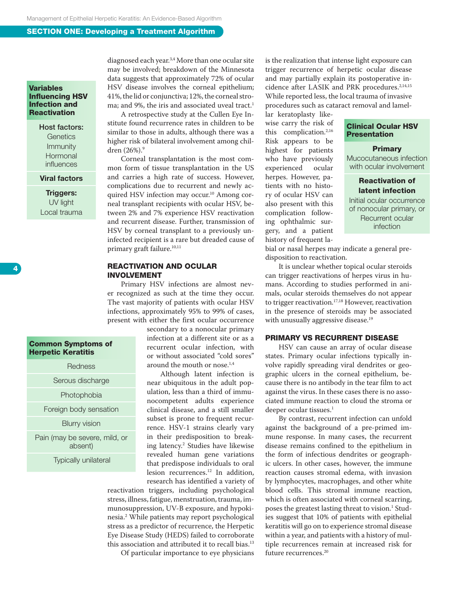#### Variables Influencing HSV Infection and **Reactivation**

#### Host factors: **Genetics** Immunity Hormonal influences

#### Viral factors

Triggers: UV light Local trauma

4

#### Common Symptoms of Herpetic Keratitis

**Redness** 

Serous discharge

**Photophobia** 

Foreign body sensation

Blurry vision

Pain (may be severe, mild, or absent)

Typically unilateral

diagnosed each year.<sup>3,4</sup> More than one ocular site may be involved; breakdown of the Minnesota data suggests that approximately 72% of ocular HSV disease involves the corneal epithelium; 41%, the lid or conjunctiva; 12%, the corneal stroma; and 9%, the iris and associated uveal tract.<sup>1</sup>

A retrospective study at the Cullen Eye Institute found recurrence rates in children to be similar to those in adults, although there was a higher risk of bilateral involvement among children (26%).<sup>9</sup>

Corneal transplantation is the most common form of tissue transplantation in the US and carries a high rate of success. However, complications due to recurrent and newly acquired HSV infection may occur.<sup>10</sup> Among corneal transplant recipients with ocular HSV, between 2% and 7% experience HSV reactivation and recurrent disease. Further, transmission of HSV by corneal transplant to a previously uninfected recipient is a rare but dreaded cause of primary graft failure.<sup>10,11</sup>

#### Reactivation and Ocular **INVOLVEMENT**

Primary HSV infections are almost never recognized as such at the time they occur. The vast majority of patients with ocular HSV infections, approximately 95% to 99% of cases, present with either the first ocular occurrence

secondary to a nonocular primary infection at a different site or as a recurrent ocular infection, with or without associated "cold sores" around the mouth or nose.<sup>1,4</sup>

Although latent infection is near ubiquitous in the adult population, less than a third of immunocompetent adults experience clinical disease, and a still smaller subset is prone to frequent recurrence. HSV-1 strains clearly vary in their predisposition to breaking latency.2 Studies have likewise revealed human gene variations that predispose individuals to oral lesion recurrences.<sup>12</sup> In addition, research has identified a variety of

reactivation triggers, including psychological stress, illness, fatigue, menstruation, trauma, immunosuppression, UV-B exposure, and hypokinesia.2 While patients may report psychological stress as a predictor of recurrence, the Herpetic Eye Disease Study (HEDS) failed to corroborate this association and attributed it to recall bias.<sup>13</sup>

Of particular importance to eye physicians

is the realization that intense light exposure can trigger recurrence of herpetic ocular disease and may partially explain its postoperative incidence after LASIK and PRK procedures.<sup>2,14,15</sup> While reported less, the local trauma of invasive procedures such as cataract removal and lamel-

lar keratoplasty likewise carry the risk of this complication.<sup>2,16</sup> Risk appears to be highest for patients who have previously<br>experienced ocular experienced herpes. However, patients with no history of ocular HSV can also present with this complication following ophthalmic surgery, and a patient history of frequent la-

#### Clinical Ocular HSV **Presentation**

**Primary** Mucocutaneous infection

with ocular involvement

#### Reactivation of latent infection

Initial ocular occurrence of nonocular primary, or Recurrent ocular infection

bial or nasal herpes may indicate a general predisposition to reactivation.

It is unclear whether topical ocular steroids can trigger reactivations of herpes virus in humans. According to studies performed in animals, ocular steroids themselves do not appear to trigger reactivation.<sup>17,18</sup> However, reactivation in the presence of steroids may be associated with unusually aggressive disease.<sup>19</sup>

#### Primary vs Recurrent Disease

HSV can cause an array of ocular disease states. Primary ocular infections typically involve rapidly spreading viral dendrites or geographic ulcers in the corneal epithelium, because there is no antibody in the tear film to act against the virus. In these cases there is no associated immune reaction to cloud the stroma or deeper ocular tissues.<sup>1</sup>

By contrast, recurrent infection can unfold against the background of a pre-primed immune response. In many cases, the recurrent disease remains confined to the epithelium in the form of infectious dendrites or geographic ulcers. In other cases, however, the immune reaction causes stromal edema, with invasion by lymphocytes, macrophages, and other white blood cells. This stromal immune reaction, which is often associated with corneal scarring, poses the greatest lasting threat to vision.<sup>1</sup> Studies suggest that 10% of patients with epithelial keratitis will go on to experience stromal disease within a year, and patients with a history of multiple recurrences remain at increased risk for future recurrences.<sup>20</sup>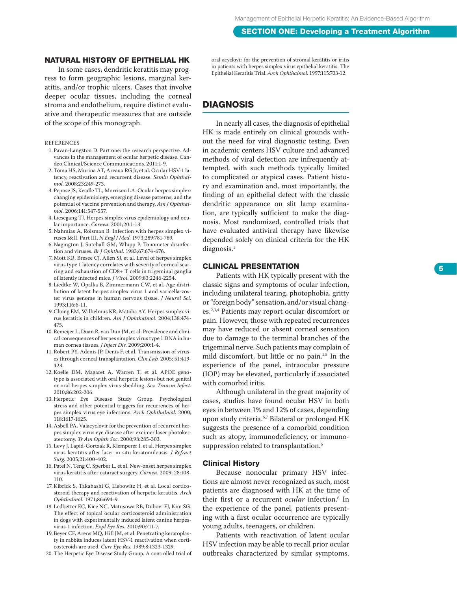#### Natural History of Epithelial H K

In some cases, dendritic keratitis may prog ress to form geographic lesions, marginal ker atitis, and/or trophic ulcers. Cases that involve deeper ocular tissues, including the corneal stroma and endothelium, require distinct evalu ative and therapeutic measures that are outside of the scope of this monograph.

#### references

- 1 . Pavan-Langston D. Part one: the research perspective. Ad vances in the management of ocular herpetic disease. Can deo Clinical/Science Communications. 2011;1-9.
- 2 . Toma HS, Murina AT, Areaux RG Jr, et al. Ocular HSV-1 la tency, reactivation and recurrent disease. *Semin Ophthal mol.* 2008;23:249-273.
- 3 . Pepose JS, Keadle TL, Morrison LA. Ocular herpes simplex: changing epidemiology, emerging disease patterns, and the potential of vaccine prevention and therapy. *Am J Ophthal mol.* 2006;141:547-557.
- 4 . Liesegang TJ. Herpes simplex virus epidemiology and ocu lar importance. *Cornea.* 2001;20:1-13.
- 5 . Nahmias A, Roisman B. Infection with herpes simplex vi ruses I&II. Part III. *N Engl J Med.* 1973;289:781-789.
- 6 . Nagington J, Sutehall GM, Whipp P. Tonometer disinfec tion and viruses. *Br J Ophthal.* 1983;67:674-676.
- 7 . Mott KR, Bresee CJ, Allen SJ, et al. Level of herpes simplex virus type 1 latency correlates with severity of corneal scar ring and exhaustion of CD8+ T cells in trigeminal ganglia of latently infected mice. *J Virol.* 2009;83:2246-2254.
- 8 . Liedtke W, Opalka B, Zimmermann CW, et al. Age distri bution of latent herpes simplex virus 1 and varicella-zos ter virus genome in human nervous tissue. *J Neurol Sci.* 1993;116:6-11.
- 9 . Chong E M, Wilhelmus KR, Matoba AY. Herpes simplex vi rus keratitis in children. *Am J Ophthalmol.* 2004;138:474- 475.
- 10. Remeijer L, Duan R, van Dun JM, et al. Prevalence and clini cal consequences of herpes simplex virus type 1 DNA in hu man cornea tissues. *J Infect Dis.* 2009;200:1-4.
- 11. Robert PY, Adenis JP, Denis F, et al. Transmission of virus es through corneal transplantation. *Clin Lab.* 2005; 51:419- 423.
- 12. Koelle DM, Magaret A, Warren T, et al. APO E geno type is associated with oral herpetic lesions but not genital or oral herpes simplex virus shedding. *Sex Transm Infect.* 2010;86:202-206.
- 13. Herpetic E ye Disease Study Group. Psychological stress and other potential triggers for recurrences of her pes simplex virus eye infections. *Arch Ophthalmol.* 2000; 118:1617-1625.
- 14. Asbell PA. Valacyclovir for the prevention of recurrent her pes simplex virus eye disease after excimer laser photoker atectomy. *Tr Am Ophth Soc.* 2000;98:285-303.
- 15. Levy J, Lapid-Gortzak R, Klemperer I, et al. Herpes simplex virus keratitis after laser in situ keratomileusis. *J Refract Surg.* 2005;21:400-402.
- 16. Patel N, Teng C, Sperber L, et al. New-onset herpes simplex virus keratitis after cataract surgery. *Cornea.* 2009; 28:108- 110.
- 17. Kibrick S, Takahashi G, Liebowitz H, et al. Local cortico steroid therapy and reactivation of herpetic keratitis. *Arch Ophthalmol.* 1971;86:694-9.
- 18. Ledbetter E C, Kice NC, Matusowa RB, Dubovi E J, Kim SG. The effect of topical ocular corticosteroid administration in dogs with experimentally induced latent canine herpes virus-1 infection. *Expl Eye Res.* 2010;90:711-7.
- 19. Beyer C F, Arens MQ, Hill JM, et al. Penetrating keratoplas ty in rabbits induces latent HSV-1 reactivation when corti costeroids are used. *Curr Eye Res.* 1989;8:1323-1329.
- 20. The Herpetic E ye Disease Study Group. A controlled trial of

oral acyclovir for the prevention of stromal keratitis or iritis<br>in patients with herpes simplex virus epithelial keratitis. The Epithelial Keratitis Trial. Arch Ophthalmol. 1997;115:703-12.

#### **DIAGNOSIS**

In nearly all cases, the diagnosis of epithelial HK is made entirely on clinical grounds with out the need for viral diagnostic testing. Even in academic centers HSV culture and advanced methods of viral detection are infrequently at tempted, with such methods typically limited to complicated or atypical cases. Patient histo ry and examination and, most importantly, the finding of an epithelial defect with the classic dendritic appearance on slit lamp examina tion, are typically sufficient to make the diag nosis. Most randomized, controlled trials that have evaluated antiviral therapy have likewise depended solely on clinical criteria for the HK diagnosis. 1

#### Clinical presentation

Patients with HK typically present with the classic signs and symptoms of ocular infection, including unilateral tearing, photophobia, gritty or "foreign body" sensation, and/or visual chang es.2,3,4 Patients may report ocular discomfort or pain. However, those with repeated recurrences may have reduced or absent corneal sensation due to damage to the terminal branches of the trigeminal nerve. Such patients may complain of mild discomfort, but little or no pain.<sup>1,5</sup> In the experience of the panel, intraocular pressure (IOP) may be elevated, particularly if associated with comorbid iritis.

Although unilateral in the great majority of cases, studies have found ocular HSV in both eyes in between 1% and 12% of cases, depending upon study criteria.<sup>6,7</sup> Bilateral or prolonged HK suggests the presence of a comorbid condition such as atopy, immunodeficiency, or immuno suppression related to transplantation. 6

#### Clinical History

Because nonocular primary HSV infec tions are almost never recognized as such, most patients are diagnosed with HK at the time of their first or a recurrent *ocular* infection. 6 In the experience of the panel, patients present ing with a first ocular occurrence are typically young adults, teenagers, or children.

Patients with reactivation of latent ocular HSV infection may be able to recall prior ocular outbreaks characterized by similar symptoms.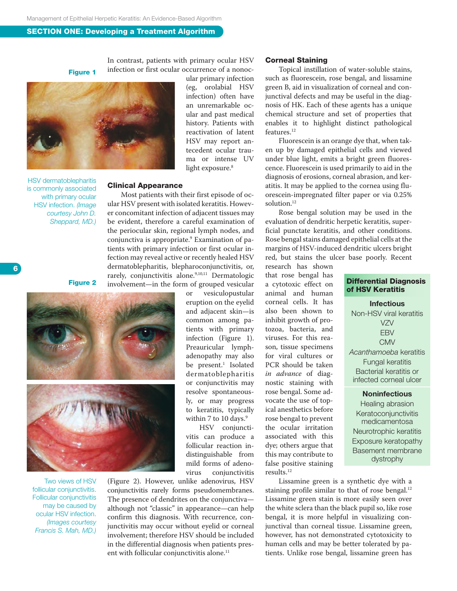Figure 1

In contrast, patients with primary ocular HSV infection or first ocular occurrence of a nonoc-



HSV dermatoblepharitis is commonly associated with primary ocular HSV infection. *(Image courtesy John D. Sheppard, MD.)* ular primary infection (eg, orolabial HSV infection) often have an unremarkable ocular and past medical history. Patients with reactivation of latent HSV may report antecedent ocular trauma or intense UV light exposure.<sup>8</sup>

#### Clinical Appearance

Most patients with their first episode of ocular HSV present with isolated keratitis. However concomitant infection of adjacent tissues may be evident, therefore a careful examination of the periocular skin, regional lymph nodes, and conjunctiva is appropriate.9 Examination of patients with primary infection or first ocular infection may reveal active or recently healed HSV dermatoblepharitis, blepharoconjunctivitis, or, rarely, conjunctivitis alone.<sup>9,10,11</sup> Dermatologic involvement—in the form of grouped vesicular

Figure 2



Two views of HSV follicular conjunctivitis. Follicular conjunctivitis may be caused by ocular HSV infection. *(Images courtesy Francis S. Mah, MD.)* or vesiculopustular eruption on the eyelid and adjacent skin—is common among patients with primary infection (Figure 1). Preauricular lymphadenopathy may also be present.<sup>1</sup> Isolated dermatoblepharitis or conjunctivitis may resolve spontaneously, or may progress to keratitis, typically within 7 to 10 days.<sup>9</sup> HSV conjuncti-

vitis can produce a follicular reaction indistinguishable from mild forms of adeno-<br>virus conjunctivitis conjunctivitis

(Figure 2). However, unlike adenovirus, HSV conjunctivitis rarely forms pseudomembranes. The presence of dendrites on the conjunctiva although not "classic" in appearance—can help confirm this diagnosis. With recurrence, conjunctivitis may occur without eyelid or corneal involvement; therefore HSV should be included in the differential diagnosis when patients present with follicular conjunctivitis alone.<sup>11</sup>

#### Corneal Staining

Topical instillation of water-soluble stains, such as fluorescein, rose bengal, and lissamine green B, aid in visualization of corneal and conjunctival defects and may be useful in the diagnosis of HK. Each of these agents has a unique chemical structure and set of properties that enables it to highlight distinct pathological features.12

Fluorescein is an orange dye that, when taken up by damaged epithelial cells and viewed under blue light, emits a bright green fluorescence. Fluorescein is used primarily to aid in the diagnosis of erosions, corneal abrasion, and keratitis. It may be applied to the cornea using fluorescein-impregnated filter paper or via 0.25% solution.12

Rose bengal solution may be used in the evaluation of dendritic herpetic keratitis, superficial punctate keratitis, and other conditions. Rose bengal stains damaged epithelial cells at the margins of HSV-induced dendritic ulcers bright red, but stains the ulcer base poorly. Recent research has shown

that rose bengal has a cytotoxic effect on animal and human corneal cells. It has also been shown to inhibit growth of protozoa, bacteria, and viruses. For this reason, tissue specimens for viral cultures or PCR should be taken *in advance* of diagnostic staining with rose bengal. Some advocate the use of topical anesthetics before rose bengal to prevent the ocular irritation associated with this dye; others argue that this may contribute to false positive staining results.<sup>12</sup>

#### Differential Diagnosis of HSV Keratitis

**Infectious** Non-HSV viral keratitis VZV EBV **CMV** *Acanthamoeba* keratitis Fungal keratitis Bacterial keratitis or infected corneal ulcer

**Noninfectious** Healing abrasion **Keratoconjunctivitis** medicamentosa Neurotrophic keratitis Exposure keratopathy Basement membrane dystrophy

Lissamine green is a synthetic dye with a staining profile similar to that of rose bengal.<sup>12</sup> Lissamine green stain is more easily seen over the white sclera than the black pupil so, like rose bengal, it is more helpful in visualizing conjunctival than corneal tissue. Lissamine green, however, has not demonstrated cytotoxicity to human cells and may be better tolerated by patients. Unlike rose bengal, lissamine green has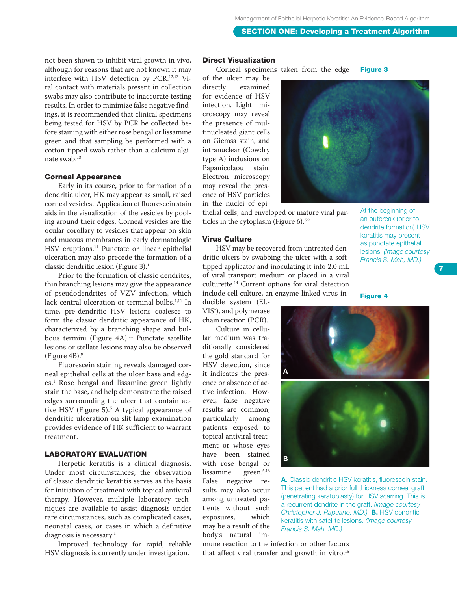not been shown to inhibit viral growth in vivo, although for reasons that are not known it may interfere with HSV detection by PCR.12,13 Viral contact with materials present in collection swabs may also contribute to inaccurate testing results. In order to minimize false negative findings, it is recommended that clinical specimens being tested for HSV by PCR be collected before staining with either rose bengal or lissamine green and that sampling be performed with a cotton-tipped swab rather than a calcium alginate swab.13

#### Corneal Appearance

Early in its course, prior to formation of a dendritic ulcer, HK may appear as small, raised corneal vesicles. Application of fluorescein stain aids in the visualization of the vesicles by pooling around their edges. Corneal vesicles are the ocular corollary to vesicles that appear on skin and mucous membranes in early dermatologic HSV eruptions.<sup>11</sup> Punctate or linear epithelial ulceration may also precede the formation of a classic dendritic lesion (Figure 3).<sup>1</sup>

Prior to the formation of classic dendrites, thin branching lesions may give the appearance of pseudodendrites of VZV infection, which lack central ulceration or terminal bulbs.<sup>1,11</sup> In time, pre-dendritic HSV lesions coalesce to form the classic dendritic appearance of HK, characterized by a branching shape and bulbous termini (Figure 4A).<sup>11</sup> Punctate satellite lesions or stellate lesions may also be observed (Figure  $4B$ ).<sup>9</sup>

Fluorescein staining reveals damaged corneal epithelial cells at the ulcer base and edges.1 Rose bengal and lissamine green lightly stain the base, and help demonstrate the raised edges surrounding the ulcer that contain active HSV (Figure 5).5 A typical appearance of dendritic ulceration on slit lamp examination provides evidence of HK sufficient to warrant treatment.

#### Laboratory evaluation

Herpetic keratitis is a clinical diagnosis. Under most circumstances, the observation of classic dendritic keratitis serves as the basis for initiation of treatment with topical antiviral therapy. However, multiple laboratory techniques are available to assist diagnosis under rare circumstances, such as complicated cases, neonatal cases, or cases in which a definitive diagnosis is necessary.<sup>1</sup>

Improved technology for rapid, reliable HSV diagnosis is currently under investigation.

Direct Visualization

Corneal specimens taken from the edge Figure 3

of the ulcer may be directly examined for evidence of HSV infection. Light microscopy may reveal the presence of multinucleated giant cells on Giemsa stain, and intranuclear (Cowdry type A) inclusions on Papanicolaou stain. Electron microscopy may reveal the presence of HSV particles in the nuclei of epi-

thelial cells, and enveloped or mature viral particles in the cytoplasm (Figure 6).<sup>5,9</sup>

#### Virus Culture

HSV may be recovered from untreated dendritic ulcers by swabbing the ulcer with a softtipped applicator and inoculating it into 2.0 mL of viral transport medium or placed in a viral culturette.14 Current options for viral detection include cell culture, an enzyme-linked virus-in-

ducible system (EL-VIS®), and polymerase chain reaction (PCR).

Culture in cellular medium was traditionally considered the gold standard for HSV detection, since it indicates the presence or absence of active infection. However, false negative results are common, particularly among patients exposed to topical antiviral treatment or whose eyes have been stained with rose bengal or lissamine green.<sup>5,13</sup> False negative results may also occur among untreated patients without such exposures, which may be a result of the body's natural im-



At the beginning of an outbreak (prior to dendrite formation) HSV keratitis may present as punctate epithelial lesions. *(Image courtesy Francis S. Mah, MD.)*

#### Figure 4



A. Classic dendritic HSV keratitis, fluorescein stain. This patient had a prior full thickness corneal graft (penetrating keratoplasty) for HSV scarring. This is a recurrent dendrite in the graft. *(Image courtesy Christopher J. Rapuano, MD.)* B. HSV dendritic keratitis with satellite lesions. *(Image courtesy Francis S. Mah, MD.)*

mune reaction to the infection or other factors that affect viral transfer and growth in vitro.<sup>15</sup>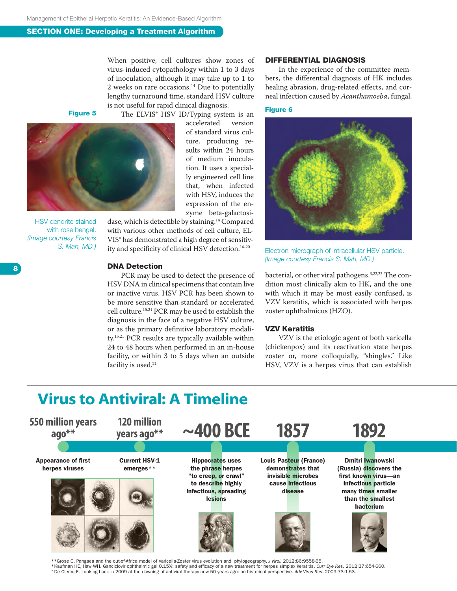When positive, cell cultures show zones of virus-induced cytopathology within 1 to 3 days of inoculation, although it may take up to 1 to 2 weeks on rare occasions.14 Due to potentially lengthy turnaround time, standard HSV culture is not useful for rapid clinical diagnosis.

accelerated

of standard virus culture, producing results within 24 hours of medium inoculation. It uses a specially engineered cell line that, when infected

Figure 5



HSV dendrite stained with rose bengal. *(Image courtesy Francis S. Mah, MD.)*

with HSV, induces the expression of the enzyme beta-galactosidase, which is detectible by staining.14 Compared with various other methods of cell culture, EL-VIS® has demonstrated a high degree of sensitiv-

ity and specificity of clinical HSV detection.<sup>16-20</sup>

#### DNA Detection

PCR may be used to detect the presence of HSV DNA in clinical specimens that contain live or inactive virus. HSV PCR has been shown to be more sensitive than standard or accelerated cell culture.15,21 PCR may be used to establish the diagnosis in the face of a negative HSV culture, or as the primary definitive laboratory modality.15,21 PCR results are typically available within 24 to 48 hours when performed in an in-house facility, or within 3 to 5 days when an outside facility is used.<sup>21</sup>

#### Differential diagnosis

In the experience of the committee members, the differential diagnosis of HK includes healing abrasion, drug-related effects, and corneal infection caused by *Acanthamoeba*, fungal,

#### Figure 6



Electron micrograph of intracellular HSV particle. *(Image courtesy Francis S. Mah, MD.)*

bacterial, or other viral pathogens.<sup>3,22,23</sup> The condition most clinically akin to HK, and the one with which it may be most easily confused, is VZV keratitis, which is associated with herpes zoster ophthalmicus (HZO).

#### VZV Keratitis

VZV is the etiologic agent of both varicella (chickenpox) and its reactivation state herpes zoster or, more colloquially, "shingles." Like HSV, VZV is a herpes virus that can establish

### **Virus to Antiviral: A Timeline**



\*\*Grose C. Pangaea and the out-of-Africa model of Varicella-Zoster virus evolution and phylogeography. *J Virol.* 2012;86:9558-65. \* De Clercq E. Looking back in 2009 at the dawning of antiviral therapy now 50 years ago: an historical perspective. Adv Virus Res. 2009;73:1-53.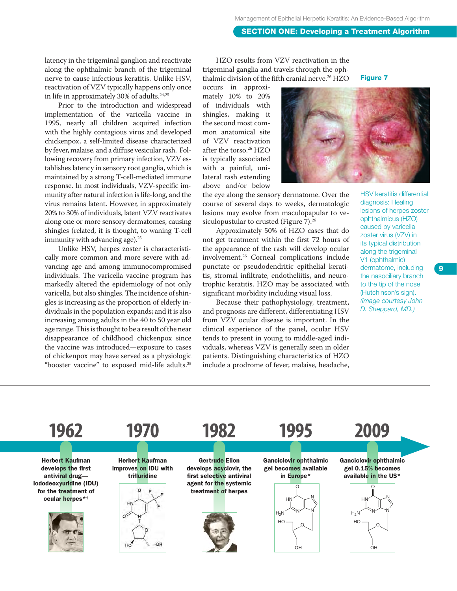latency in the trigeminal ganglion and reactivate along the ophthalmic branch of the trigeminal nerve to cause infectious keratitis. Unlike HSV, reactivation of VZV typically happens only once in life in approximately 30% of adults.<sup>24,25</sup>

Prior to the introduction and widespread implementation of the varicella vaccine in 1995, nearly all children acquired infection with the highly contagious virus and developed chickenpox, a self-limited disease characterized by fever, malaise, and a diffuse vesicular rash. Following recovery from primary infection, VZV establishes latency in sensory root ganglia, which is maintained by a strong T-cell-mediated immune response. In most individuals, VZV-specific immunity after natural infection is life-long, and the virus remains latent. However, in approximately 20% to 30% of individuals, latent VZV reactivates along one or more sensory dermatomes, causing shingles (related, it is thought, to waning T-cell immunity with advancing age).<sup>25</sup>

Unlike HSV, herpes zoster is characteristically more common and more severe with advancing age and among immunocompromised individuals. The varicella vaccine program has markedly altered the epidemiology of not only varicella, but also shingles. The incidence of shingles is increasing as the proportion of elderly individuals in the population expands; and it is also increasing among adults in the 40 to 50 year old age range. This is thought to be a result of the near disappearance of childhood chickenpox since the vaccine was introduced—exposure to cases of chickenpox may have served as a physiologic "booster vaccine" to exposed mid-life adults.25

HZO results from VZV reactivation in the trigeminal ganglia and travels through the ophthalmic division of the fifth cranial nerve.<sup>26</sup> HZO

occurs in approximately 10% to 20% of individuals with shingles, making it the second most common anatomical site of VZV reactivation after the torso.26 HZO is typically associated with a painful, unilateral rash extending above and/or below

the eye along the sensory dermatome. Over the course of several days to weeks, dermatologic lesions may evolve from maculopapular to vesiculopustular to crusted (Figure 7).<sup>26</sup>

Approximately 50% of HZO cases that do not get treatment within the first 72 hours of the appearance of the rash will develop ocular involvement.26 Corneal complications include punctate or pseudodendritic epithelial keratitis, stromal infiltrate, endotheliitis, and neurotrophic keratitis. HZO may be associated with significant morbidity including visual loss.

Because their pathophysiology, treatment, and prognosis are different, differentiating HSV from VZV ocular disease is important. In the clinical experience of the panel, ocular HSV tends to present in young to middle-aged individuals, whereas VZV is generally seen in older patients. Distinguishing characteristics of HZO include a prodrome of fever, malaise, headache,



Figure 7

HSV keratitis differential diagnosis: Healing lesions of herpes zoster ophthalmicus (HZO) caused by varicella zoster virus (VZV) in its typical distribution along the trigeminal V1 (ophthalmic) dermatome, including the nasociliary branch to the tip of the nose (Hutchinson's sign). *(Image courtesy John D. Sheppard, MD.)*

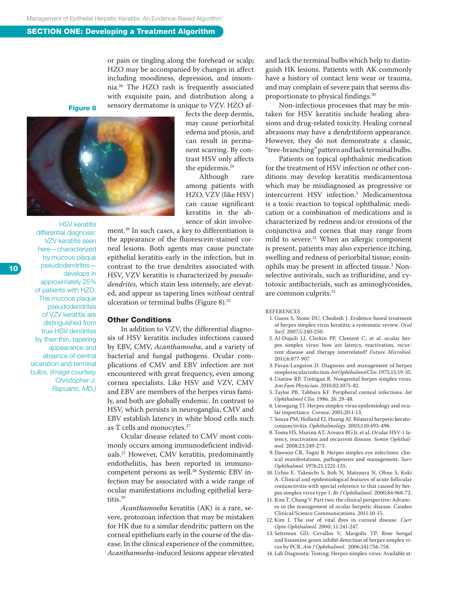or pain or tingling along the forehead or scalp; HZO may be accompanied by changes in affect including moodiness, depression, and insomnia.26 The HZO rash is frequently associated with exquisite pain, and distribution along a sensory dermatome is unique to VZV. HZO af-

Figure 8



HSV keratitis differential diagnosis: VZV keratitis seen here—characterized by mucous plaque pseudodendrites develops in approximately 25% of patients with HZO. The mucous plaque pseudodendrites of VZV keratitis are distinguished from true HSV dendrites by their thin, tapering appearance and absence of central ulceration and terminal bulbs. *(Image courtesy Christopher J. Rapuano, MD.)* fects the deep dermis, may cause periorbital edema and ptosis, and can result in permanent scarring. By contrast HSV only affects the epidermis.26

Although rare among patients with HZO, VZV (like HSV) can cause significant keratitis in the absence of skin involve-

ment.26 In such cases, a key to differentiation is the appearance of the fluorescein-stained corneal lesions. Both agents may cause punctate epithelial keratitis early in the infection, but in contrast to the true dendrites associated with HSV, VZV keratitis is characterized by *pseudodendrites*, which stain less intensely, are elevated, and appear as tapering lines *without* central ulceration or terminal bulbs (Figure 8).25

#### Other Conditions

In addition to VZV, the differential diagnosis of HSV keratitis includes infections caused by EBV, CMV, *Acanthamoeba*, and a variety of bacterial and fungal pathogens. Ocular complications of CMV and EBV infection are not encountered with great frequency, even among cornea specialists. Like HSV and VZV, CMV and EBV are members of the herpes virus family, and both are globally endemic. In contrast to HSV, which persists in neuroganglia, CMV and EBV establish latency in white blood cells such as T cells and monocytes.27

Ocular disease related to CMV most commonly occurs among immunodeficient individuals.27 However, CMV keratitis, predominantly endotheliitis, has been reported in immunocompetent persons as well.<sup>28</sup> Systemic EBV infection may be associated with a wide range of ocular manifestations including epithelial keratitis.29

*Acanthamoeba* keratitis (AK) is a rare, severe, protozoan infection that may be mistaken for HK due to a similar dendritic pattern on the corneal epithelium early in the course of the disease. In the clinical experience of the committee, *Acanthamoeba*-induced lesions appear elevated

and lack the terminal bulbs which help to distinguish HK lesions. Patients with AK commonly have a history of contact lens wear or trauma, and may complain of severe pain that seems disproportionate to physical findings.30

Non-infectious processes that may be mistaken for HSV keratitis include healing abrasions and drug-related toxicity. Healing corneal abrasions may have a dendritiform appearance. However, they do not demonstrate a classic, "tree-branching" pattern and lack terminal bulbs.

Patients on topical ophthalmic medication for the treatment of HSV infection or other conditions may develop keratitis medicamentosa which may be misdiagnosed as progressive or intercurrent HSV infection.3 Medicamentosa is a toxic reaction to topical ophthalmic medication or a combination of medications and is characterized by redness and/or erosions of the conjunctiva and cornea that may range from mild to severe.31 When an allergic component is present, patients may also experience itching, swelling and redness of periorbital tissue; eosinophils may be present in affected tissue.3 Nonselective antivirals, such as trifluridine, and cytotoxic antibacterials, such as aminoglycosides, are common culprits.31

#### **REFERENCES**

- 1. Guess S, Stone DU, Chodosh J. Evidence-based treatment of herpes simplex virus keratitis: a systematic review. *Ocul Surf.* 2007;5:240-250.
- 2. Al-Dujaili LJ, Clerkin PP, Clement C, et al. ocular herpes simplex virus: how are latency, reactivation, recurrent disease and therapy interrelated? *Future Microbiol.* 2011;6:877-907.
- 3. Pavan-Langston D. Diagnosis and management of herpes simplex ocular infection. *Int Ophthalmol Clin.* 1975;15:19-35.
- 4. Usatine RP, Tinitigan R. Nongenital herpes simplex virus. *Am Fam Physician*. 2010;82:1075-82.
- 5. Taylor PB, Tabbara KF. Peripheral corneal infections. *Int Ophthalmol Clin.* 1986. 26: 29-48.
- 6. Liesegang TJ. Herpes simplex virus epidemiology and ocular importance. *Cornea.* 2001;20:1-13.
- 7. Souza PM, Holland EJ, Huang AJ. Bilateral herpetic keratoconjunctivitis. *Ophthalmology.* 2003;110:493-496.
- 8. Toma HS, Murina AT, Areaux RG Jr, et al. Ocular HSV-1 latency, reactivation and recurrent disease. *Semin Ophthalmol.* 2008;23:249-273.
- 9. Dawson CR, Togni B. Herpes simplex eye infections: clinical manifestations, pathogenesis and management. *Surv Ophthalmol.* 1976;21:1221-135.
- 10. Uchio E. Takeuchi S, Itoh N, Matsuura N, Ohno S, Koki A. Clinical and epidemiological features of acute follicular conjunctivitis with special reference to that caused by herpes simplex virus type 1. *Br J Ophthalmol.* 2000;84:968-72.
- 11. Kim T, Chang V. Part two: the clinical perspective: Advances in the management of ocular herpetic disease. Candeo Clinical/Science Communications. 2011:10-15.
- 12. Kim J. The use of vital dyes in corneal disease. *Curr Opin Ophthalmol.* 2000; 11:241-247.
- 13. Seitzman GD, Cevallos V, Margolis TP. Rose bengal and lissamine green inhibit detection of herpes simplex virus by PCR. *Am J Ophthalmol.* 2006;141:756-758.
- 14. Lab Diagnostic Testing: Herpes simplex virus. Available at: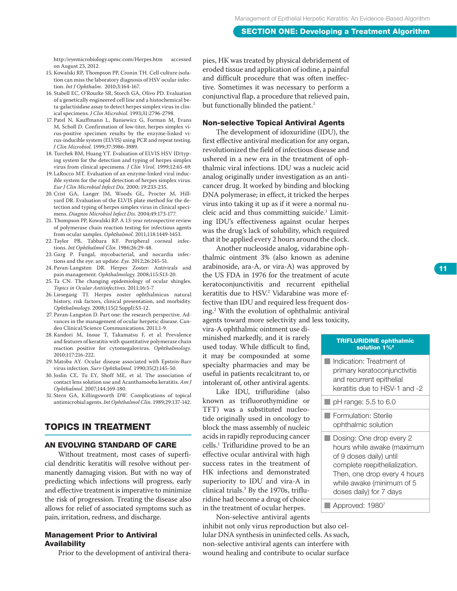http://eyemicrobiology.upmc.com/Herpes.htm accessed on August 23, 2012.

- 15. Kowalski RP, Thompson PP, Cronin TH. Cell culture isolation can miss the laboratory diagnosis of HSV ocular infection. *Int J Ophthalm.* 2010;3:164-167.
- 16. Stabell EC, O'Rourke SR, Storch GA, Olivo PD. Evaluation of a genetically engineered cell line and a histochemical beta-galactisidase assay to detect herpes simplex virus in clinical specimens. *J Clin Microbiol.* 1993;31:2796-2798.
- 17. Patel N, Kauffmann L, Baniewicz G, Forman M, Evans M, Scholl D. Confirmation of low-titer, herpes simplex virus-positive specimen results by the enzyme-linked virus-inducible system (ELVIS) using PCR and repeat testing. *J Clin Microbiol.* 1999;37:3986-3989.
- 18. Turchek BM, Huang YT. Evaluation of ELVIS HSV ID/typing system for the detection and typing of herpes simplex virus from clinical specimens. *J Clin Virol.* 1999;12:65-69.
- 19. LaRocco MT. Evaluation of an enzyme-linked viral inducible system for the rapid detection of herpes simplex virus. *Eur J Clin Microbial Infect Dis.* 2000; 19:233-235.
- 20. Crist GA, Langer JM, Woods GL, Procter M, Hillyard DR. Evaluation of the ELVIS plate method for the detection and typing of herpes simplex virus in clinical specimens. *Diagnos Microbiol Infect Dis.* 2004;49:173-177.
- 21. Thompson PP, Kowalski RP. A 13-year retrospective review of polymerase chain reaction testing for infectious agents from ocular samples. *Ophthalmol.* 2011;118:1449-1453.
- 22. Taylor PB, Tabbara KF. Peripheral corneal infections. *Int Ophthalmol Clin.* 1986;26:29-48.
- 23. Garg P. Fungal, mycobacterial, and nocardia infections and the eye: an update. *Eye.* 2012;26:245-51.
- 24. Pavan-Langston DR. Herpes Zoster: Antivirals and pain management. *Ophthalmology.* 2008;115:S13-20.
- 25. Ta CN. The changing epidemiology of ocular shingles. *Topics in Ocular Antiinfectives.* 2011;16:5-7
- 26. Liesegang TJ. Herpes zoster ophthalmicus natural history, risk factors, clinical presentation, and morbidity. *Ophthalmology.* 2008;115(2 Suppl):S3-12.
- 27. Pavan-Langston D. Part one: the research perspective. Advances in the management of ocular herpetic disease. Candeo Clinical/Science Communications. 2011;1-9.
- 28. Kandori M, Inoue T, Takamatsu F, et al. Prevalence and features of keratitis with quantitative polymerase chain reaction positive for cytomegalovirus. *Ophthalmology.*  2010;117:216-222.
- 29. Matoba AY. Ocular disease associated with Epstein-Barr virus infection. *Surv Ophthalmol.* 1990;35(2):145-50.
- 30. Joslin CE, Tu EY, Shoff ME, et al. The association of contact lens solution use and Acanthamoeba keratitis. *Am J Ophthalmol.* 2007;144:169-180.
- 31. Stern GA, Killingsworth DW. Complications of topical antimicrobial agents. *Int Ophthalmol Clin.* 1989;29:137-142.

#### Topics in Treatment

#### An evolving standard of care

Without treatment, most cases of superficial dendritic keratitis will resolve without permanently damaging vision. But with no way of predicting which infections will progress, early and effective treatment is imperative to minimize the risk of progression. Treating the disease also allows for relief of associated symptoms such as pain, irritation, redness, and discharge.

#### Management Prior to Antiviral **Availability**

Prior to the development of antiviral thera-

pies, HK was treated by physical debridement of eroded tissue and application of iodine, a painful and difficult procedure that was often ineffective. Sometimes it was necessary to perform a conjunctival flap, a procedure that relieved pain, but functionally blinded the patient.<sup>1</sup>

#### Non-selective Topical Antiviral Agents

The development of idoxuridine (IDU), the first effective antiviral medication for any organ, revolutionized the field of infectious disease and ushered in a new era in the treatment of ophthalmic viral infections. IDU was a nucleic acid analog originally under investigation as an anticancer drug. It worked by binding and blocking DNA polymerase; in effect, it tricked the herpes virus into taking it up as if it were a normal nucleic acid and thus committing suicide.1 Limiting IDU's effectiveness against ocular herpes was the drug's lack of solubility, which required that it be applied every 2 hours around the clock.

Another nucleoside analog, vidarabine ophthalmic ointment 3% (also known as adenine arabinoside, ara-A, or vira-A) was approved by the US FDA in 1976 for the treatment of acute keratoconjunctivitis and recurrent epithelial keratitis due to HSV.2 Vidarabine was more effective than IDU and required less frequent dosing.2 With the evolution of ophthalmic antiviral agents toward more selectivity and less toxicity,

vira-A ophthalmic ointment use diminished markedly, and it is rarely used today. While difficult to find, it may be compounded at some specialty pharmacies and may be useful in patients recalcitrant to, or intolerant of, other antiviral agents.

Like IDU, trifluridine (also known as trifluorothymidine or TFT) was a substituted nucleotide originally used in oncology to block the mass assembly of nucleic acids in rapidly reproducing cancer cells.1 Trifluridine proved to be an effective ocular antiviral with high success rates in the treatment of HK infections and demonstrated superiority to IDU and vira-A in clinical trials.3 By the 1970s, trifluridine had become a drug of choice in the treatment of ocular herpes.

Non-selective antiviral agents inhibit not only virus reproduction but also cellular DNA synthesis in uninfected cells. As such, non-selective antiviral agents can interfere with wound healing and contribute to ocular surface

#### TRIFLURIDINE ophthalmic solution  $1\%$ <sup>6</sup>

■ Indication: Treatment of primary keratoconjunctivitis and recurrent epithelial keratitis due to HSV-1 and -2

#### $\blacksquare$  pH range: 5.5 to 6.0

**Formulation: Sterile** ophthalmic solution

- Dosing: One drop every 2 hours while awake (maximum of 9 doses daily) until complete reepithelialization. Then, one drop every 4 hours while awake (minimum of 5 doses daily) for 7 days
- Approved: 1980<sup>7</sup>

11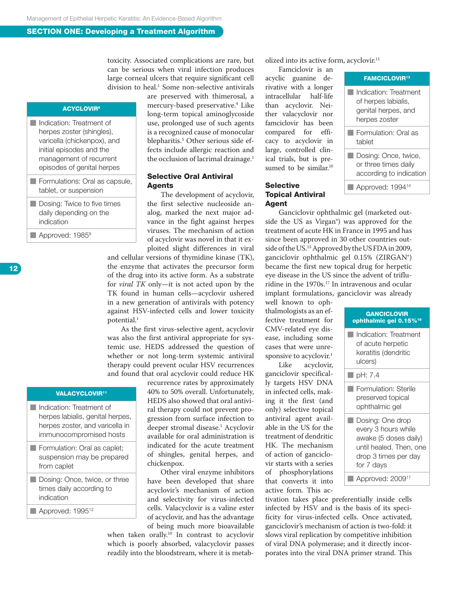toxicity. Associated complications are rare, but can be serious when viral infection produces large corneal ulcers that require significant cell division to heal.<sup>1</sup> Some non-selective antivirals

#### **ACYCLOVIR<sup>8</sup>**

- Indication: Treatment of herpes zoster (shingles), varicella (chickenpox), and initial episodes and the management of recurrent episodes of genital herpes **Formulations: Oral as capsule,** tablet, or suspension
- Dosing: Twice to five times daily depending on the indication
- Approved: 1985<sup>9</sup>

are preserved with thimerosal, a mercury-based preservative.4 Like long-term topical aminoglycoside use, prolonged use of such agents is a recognized cause of monocular blepharitis.5 Other serious side effects include allergic reaction and the occlusion of lacrimal drainage.<sup>1</sup>

#### Selective Oral Antiviral **Agents**

The development of acyclovir, the first selective nucleoside analog, marked the next major advance in the fight against herpes viruses. The mechanism of action of acyclovir was novel in that it exploited slight differences in viral

and cellular versions of thymidine kinase (TK), the enzyme that activates the precursor form of the drug into its active form. As a substrate for *viral TK* only—it is not acted upon by the TK found in human cells—acyclovir ushered in a new generation of antivirals with potency against HSV-infected cells and lower toxicity potential.<sup>1</sup>

As the first virus-selective agent, acyclovir was also the first antiviral appropriate for systemic use. HEDS addressed the question of whether or not long-term systemic antiviral therapy could prevent ocular HSV recurrences and found that oral acyclovir could reduce HK

#### **VALACYCLOVIR<sup>11</sup>**

- Indication: Treatment of herpes labialis, genital herpes, herpes zoster, and varicella in immunocompromised hosts
- **Formulation: Oral as caplet;** suspension may be prepared from caplet
- Dosing: Once, twice, or three times daily according to indication
- Approved: 1995<sup>12</sup>

recurrence rates by approximately 40% to 50% overall. Unfortunately, HEDS also showed that oral antiviral therapy could not prevent progression from surface infection to deeper stromal disease.1 Acyclovir available for oral administration is indicated for the acute treatment of shingles, genital herpes, and chickenpox.

Other viral enzyme inhibitors have been developed that share acyclovir's mechanism of action and selectivity for virus-infected cells. Valacyclovir is a valine ester of acyclovir, and has the advantage of being much more bioavailable

when taken orally.10 In contrast to acyclovir which is poorly absorbed, valacyclovir passes readily into the bloodstream, where it is metabolized into its active form, acyclovir.<sup>11</sup>

Famciclovir is an acyclic guanine derivative with a longer intracellular half-life than acyclovir. Neither valacyclovir nor famciclovir has been compared for efficacy to acyclovir in large, controlled clinical trials, but is presumed to be similar.<sup>10</sup>

#### Selective Topical Antiviral **Agent**

■ Indication: Treatment of herpes labialis, genital herpes, and herpes zoster ■ Formulation: Oral as tablet

FAMCICLOVIR13

■ Dosing: Once, twice, or three times daily according to indication Approved: 1994<sup>14</sup>

Ganciclovir ophthalmic gel (marketed outside the US as Virgan®) was approved for the treatment of acute HK in France in 1995 and has since been approved in 30 other countries outside of the US.15 Approved by the US FDA in 2009, ganciclovir ophthalmic gel 0.15% (ZIRGAN<sup>®</sup>) became the first new topical drug for herpetic eye disease in the US since the advent of trifluridine in the 1970s.<sup>17</sup> In intravenous and ocular implant formulations, ganciclovir was already

well known to ophthalmologists as an effective treatment for CMV-related eye disease, including some cases that were unresponsive to acyclovir.<sup>1</sup>

Like acyclovir, ganciclovir specifically targets HSV DNA in infected cells, making it the first (and only) selective topical antiviral agent available in the US for the treatment of dendritic HK. The mechanism of action of ganciclovir starts with a series of phosphorylations that converts it into active form. This ac-

| <b>GANCICLOVIR</b><br>ophthalmic gel 0.15% <sup>16</sup> |                                                                                                                                   |  |  |  |  |
|----------------------------------------------------------|-----------------------------------------------------------------------------------------------------------------------------------|--|--|--|--|
|                                                          | Indication: Treatment<br>of acute herpetic<br>keratitis (dendritic<br>ulcers)                                                     |  |  |  |  |
|                                                          | $\blacksquare$ pH: 7.4                                                                                                            |  |  |  |  |
|                                                          | Formulation: Sterile<br>preserved topical<br>ophthalmic gel                                                                       |  |  |  |  |
|                                                          | Dosing: One drop<br>every 3 hours while<br>awake (5 doses daily)<br>until healed. Then, one<br>drop 3 times per day<br>for 7 days |  |  |  |  |
|                                                          | Approved: 2009                                                                                                                    |  |  |  |  |

tivation takes place preferentially inside cells infected by HSV and is the basis of its specificity for virus-infected cells. Once activated, ganciclovir's mechanism of action is two-fold: it slows viral replication by competitive inhibition of viral DNA polymerase; and it directly incorporates into the viral DNA primer strand. This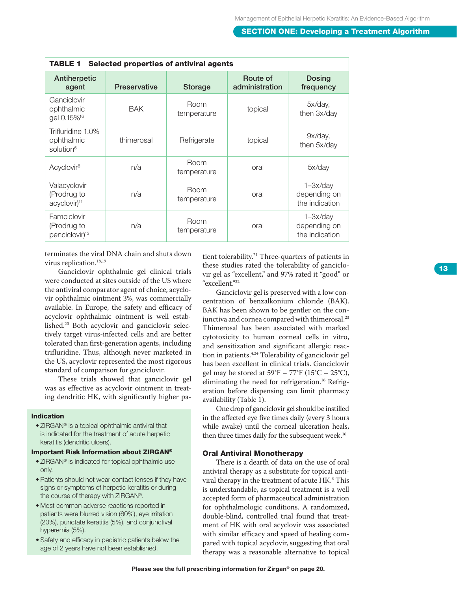| <b>Selected properties of antiviral agents</b><br><b>TABLE 1</b> |                     |                     |                            |                                                |  |  |
|------------------------------------------------------------------|---------------------|---------------------|----------------------------|------------------------------------------------|--|--|
| Antiherpetic<br>agent                                            | <b>Preservative</b> | <b>Storage</b>      | Route of<br>administration | <b>Dosing</b><br>frequency                     |  |  |
| Ganciclovir<br>ophthalmic<br>gel 0.15% <sup>16</sup>             | <b>BAK</b>          | Room<br>temperature | topical                    | 5x/day,<br>then 3x/day                         |  |  |
| Trifluridine 1.0%<br>ophthalmic<br>solution <sup>6</sup>         | thimerosal          | Refrigerate         | topical                    | 9x/day,<br>then 5x/day                         |  |  |
| Acyclovir <sup>8</sup>                                           | n/a                 | Room<br>temperature | oral                       | 5x/day                                         |  |  |
| Valacyclovir<br>(Prodrug to<br>acyclovir) <sup>11</sup>          | n/a                 | Room<br>temperature | oral                       | $1 - 3x/day$<br>depending on<br>the indication |  |  |
| Famciclovir<br>(Prodrug to<br>penciclovir) <sup>13</sup>         | n/a                 | Room<br>temperature | oral                       | $1 - 3x/day$<br>depending on<br>the indication |  |  |

terminates the viral DNA chain and shuts down virus replication.<sup>18,19</sup>

Ganciclovir ophthalmic gel clinical trials were conducted at sites outside of the US where the antiviral comparator agent of choice, acyclo vir ophthalmic ointment 3%, was commercially available. In Europe, the safety and efficacy of acyclovir ophthalmic ointment is well estab lished.20 Both acyclovir and ganciclovir selec tively target virus-infected cells and are better tolerated than first-generation agents, including trifluridine. Thus, although never marketed in the US, acyclovir represented the most rigorous standard of comparison for ganciclovir.

These trials showed that ganciclovir gel was as effective as acyclovir ointment in treat ing dendritic HK, with significantly higher pa -

#### Indication

• ZIRGAN® is a topical ophthalmic antiviral that is indicated for the treatment of acute herpetic keratitis (dendritic ulcers).

#### Important Risk Information about ZIRGAN®

- ZIRGAN ® is indicated for topical ophthalmic use only.
- Patients should not wear contact lenses if they have signs or symptoms of herpetic keratitis or during the course of therapy with ZIRGAN®.
- Most common adverse reactions reported in patients were blurred vision (60%), eye irritation (20%), punctate keratitis (5%), and conjunctival hyperemia (5%).
- Safety and efficacy in pediatric patients below the age of 2 years have not been established.

tient tolerability.<sup>21</sup> Three-quarters of patients in these studies rated the tolerability of ganciclo vir gel as "excellent," and 97% rated it "good" or "excellent."22

Ganciclovir gel is preserved with a low con centration of benzalkonium chloride (BAK). BAK has been shown to be gentler on the con junctiva and cornea compared with thimerosal.<sup>23</sup> Thimerosal has been associated with marked cytotoxicity to human corneal cells in vitro, and sensitization and significant allergic reac tion in patients.<sup>4,24</sup> Tolerability of ganciclovir gel has been excellent in clinical trials. Ganciclovir gel may be stored at  $59^{\circ}F - 77^{\circ}F$  (15 $^{\circ}C - 25^{\circ}C$ ), eliminating the need for refrigeration.<sup>16</sup> Refrigeration before dispensing can limit pharmacy availability (Table 1).

One drop of ganciclovir gel should be instilled in the affected eye five times daily (every 3 hours while awake) until the corneal ulceration heals, then three times daily for the subsequent week.<sup>16</sup>

#### Oral Antiviral Monotherapy

There is a dearth of data on the use of oral antiviral therapy as a substitute for topical anti viral therapy in the treatment of acute HK. 3 This is understandable, as topical treatment is a well accepted form of pharmaceutical administration for ophthalmologic conditions. A randomized, double-blind, controlled trial found that treat ment of HK with oral acyclovir was associated with similar efficacy and speed of healing com pared with topical acyclovir, suggesting that oral therapy was a reasonable alternative to topical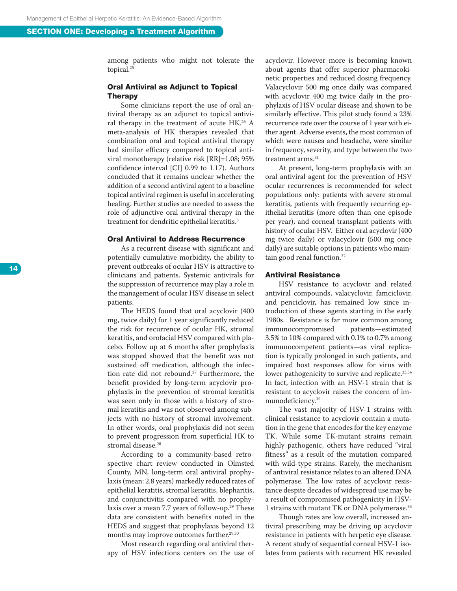among patients who might not tolerate the topical.25

#### Oral Antiviral as Adjunct to Topical Therapy

Some clinicians report the use of oral an tiviral therapy as an adjunct to topical antivi ral therapy in the treatment of acute HK.26 A meta-analysis of HK therapies revealed that combination oral and topical antiviral therapy had similar efficacy compared to topical anti viral monotherapy (relative risk [RR]=1.08; 95% confidence interval [CI] 0.99 to 1.17). Authors concluded that it remains unclear whether the addition of a second antiviral agent to a baseline topical antiviral regimen is useful in accelerating healing. Further studies are needed to assess the role of adjunctive oral antiviral therapy in the treatment for dendritic epithelial keratitis. 3

#### Oral Antiviral to Address Recurrence

As a recurrent disease with significant and potentially cumulative morbidity, the ability to prevent outbreaks of ocular HSV is attractive to clinicians and patients. Systemic antivirals for the suppression of recurrence may play a role in the management of ocular HSV disease in select patients.

The H E DS found that oral acyclovir (400 mg, twice daily) for 1 year significantly reduced the risk for recurrence of ocular HK, stromal keratitis, and orofacial HSV compared with pla cebo. Follow up at 6 months after prophylaxis was stopped showed that the benefit was not sustained off medication, although the infec tion rate did not rebound.27 Furthermore, the benefit provided by long-term acyclovir pro phylaxis in the prevention of stromal keratitis was seen only in those with a history of stro mal keratitis and was not observed among sub jects with no history of stromal involvement. In other words, oral prophylaxis did not seem to prevent progression from superficial HK to stromal disease.28

According to a community-based retro spective chart review conducted in Olmsted County, MN, long-term oral antiviral prophy laxis (mean: 2.8 years) markedly reduced rates of epithelial keratitis, stromal keratitis, blepharitis, and conjunctivitis compared with no prophy laxis over a mean 7.7 years of follow-up.<sup>29</sup> These<br>data are consistent with benefits noted in the HEDS and suggest that prophylaxis beyond 12 months may improve outcomes further.<sup>29,30</sup>

Most research regarding oral antiviral ther apy of HSV infections centers on the use of acyclovir. However more is becoming known about agents that offer superior pharmacoki netic properties and reduced dosing frequency. Valacyclovir 500 mg once daily was compared with acyclovir 400 mg twice daily in the pro phylaxis of HSV ocular disease and shown to be similarly effective. This pilot study found a 23% recurrence rate over the course of 1 year with ei ther agent. Adverse events, the most common of which were nausea and headache, were similar in frequency, severity, and type between the two treatment arms.<sup>31</sup>

At present, long-term prophylaxis with an oral antiviral agent for the prevention of HSV ocular recurrences is recommended for select populations only: patients with severe stromal keratitis, patients with frequently recurring ep ithelial keratitis (more often than one episode per year), and corneal transplant patients with history of ocular HSV. Either oral acyclovir (400 mg twice daily) or valacyclovir (500 mg once daily) are suitable options in patients who main tain good renal function.32

#### Antiviral Resistance

HSV resistance to acyclovir and related antiviral compounds, valacyclovir, famciclovir, and penciclovir, has remained low since in troduction of these agents starting in the early 1980s. Resistance is far more common among immunocompromised patients—estimated 3.5% to 10% compared with 0.1% to 0.7% among immunocompetent patients—as viral replica tion is typically prolonged in such patients, and impaired host responses allow for virus with lower pathogenicity to survive and replicate.<sup>33,34</sup> In fact, infection with an HSV-1 strain that is resistant to acyclovir raises the concern of im munodeficiency.35

The vast majority of HSV-1 strains with clinical resistance to acyclovir contain a muta tion in the gene that encodes for the key enzyme TK. While some TK-mutant strains remain highly pathogenic, others have reduced "viral fitness" as a result of the mutation compared with wild-type strains. Rarely, the mechanism of antiviral resistance relates to an altered DNA polymerase. The low rates of acyclovir resis tance despite decades of widespread use may be a result of compromised pathogenicity in HSV-1 strains with mutant TK or DNA polymerase.33

Though rates are low overall, increased an tiviral prescribing may be driving up acyclovir resistance in patients with herpetic eye disease. A recent study of sequential corneal HSV-1 iso lates from patients with recurrent HK revealed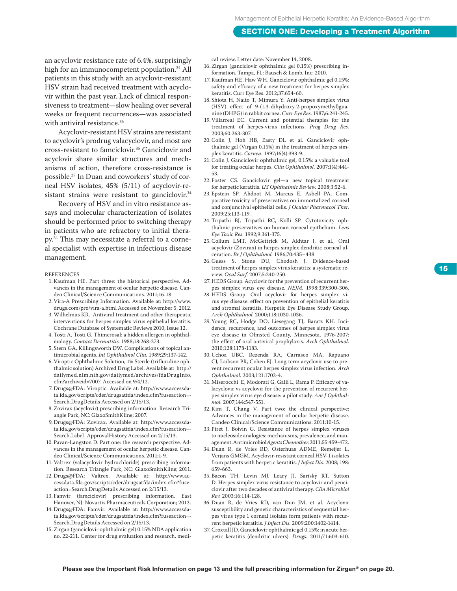an acyclovir resistance rate of 6.4%, surprisingly high for an immunocompetent population.<sup>34</sup> All patients in this study with an acyclovir-resistant HSV strain had received treatment with acyclovir within the past year. Lack of clinical responsiveness to treatment—slow healing over several weeks or frequent recurrences—was associated with antiviral resistance.<sup>36</sup>

Acyclovir-resistant HSV strains are resistant to acyclovir's prodrug valacyclovir, and most are cross-resistant to famciclovir.35 Ganciclovir and acyclovir share similar structures and mechanisms of action, therefore cross-resistance is possible.37 In Duan and coworkers' study of corneal HSV isolates, 45% (5/11) of acyclovir-resistant strains were resistant to ganciclovir.<sup>34</sup>

Recovery of HSV and in vitro resistance assays and molecular characterization of isolates should be performed prior to switching therapy in patients who are refractory to initial therapy.34 This may necessitate a referral to a corneal specialist with expertise in infectious disease management.

**REFERENCES** 

- 1. Kaufman HE. Part three: the historical perspective. Advances in the management of ocular herpetic disease. Candeo Clinical/Science Communications. 2011;16-18.
- 2.Vira-A Prescribing Information. Available at: http://www. drugs.com/pro/vira-a.html Accessed on November 5, 2012.
- 3. Wilhelmus KR. Antiviral treatment and other therapeutic interventions for herpes simplex virus epithelial keratitis. Cochrane Database of Systematic Reviews 2010, Issue 12.
- 4. Tosti A, Tosti G. Thimerosal: a hidden allergen in ophthalmology. *Contact Dermatitis.* 1988;18:268-273.
- 5. Stern GA, Killingsworth DW. Complications of topical antimicrobial agents. *Int Ophthalmol Clin.* 1989;29:137-142.
- 6.Viroptic Ophthalmic Solution, 1% Sterile (trifluridine ophthalmic solution) Archived Drug Label. Available at: http:// dailymed.nlm.nih.gov/dailymed/archives/fdaDrugInfo. cfm?archiveid=7007. Accessed on 9/4/12.
- 7. Drugs@FDA: Viroptic. Available at: http://www.accessdata.fda.gov/scripts/cder/drugsatfda/index.cfm?fuseaction=- Search.DrugDetails Accessed on 2/15/13.
- 8. Zovirax (acyclovir) prescribing information. Research Triangle Park, NC: GlaxoSmithKline; 2007.
- 9. Drugs@FDA: Zovirax. Available at: http://www.accessdata.fda.gov/scripts/cder/drugsatfda/index.cfm?fuseaction=- Search.Label\_ApprovalHistory Accessed on 2/15/13.
- 10. Pavan-Langston D. Part one: the research perspective. Advances in the management of ocular herpetic disease. Candeo Clinical/Science Communications. 2011;1-9.
- 11.Valtrex (valacyclovir hydrochloride) prescribing information. Research Triangle Park, NC: GlaxoSmithKline; 2011.
- 12. Drugs@FDA: Valtrex. Available at: http://www.accessdata.fda.gov/scripts/cder/drugsatfda/index.cfm?fuseaction=Search.DrugDetails Accessed on 2/15/13.
- 13. Famvir (famciclovir) prescribing information. East Hanover, NJ: Novartis Pharmaceuticals Corporation; 2012.
- 14. Drugs@FDA: Famvir. Available at: http://www.accessdata.fda.gov/scripts/cder/drugsatfda/index.cfm?fuseaction=- Search.DrugDetails Accessed on 2/15/13.
- 15. Zirgan (ganciclovir ophthalmic gel) 0.15% NDA application no. 22-211. Center for drug evaluation and research, medi-

cal review. Letter date: November 14, 2008.

- 16. Zirgan (ganciclovir ophthalmic gel 0.15%) prescribing information. Tampa, FL: Bausch & Lomb, Inc; 2010.
- 17. Kaufman HE, Haw WH. Ganciclovir ophthalmic gel 0.15%: safety and efficacy of a new treatment for herpes simplex keratitis. Curr Eye Res. 2012;37:654-60.
- 18. Shiota H, Naito T, Mimura Y. Anti-herpes simplex virus (HSV) effect of 9-(1,3-dihydroxy-2-propoxymethyl)guanine (DHPG) in rabbit cornea. *Curr Eye Res.* 1987;6:241-245.
- 19.Villarreal EC. Current and potential therapies for the treatment of herpes-virus infections. *Prog Drug Res.* 2003;60:263-307.
- 20.Colin J, Hoh HB, Easty DL et al. Ganciclovir ophthalmic gel (Virgan 0.15%) in the treatment of herpes simplex keratitis. *Cornea.* 1997;16(4):393-9.
- 21. Colin J. Ganciclovir ophthalmic gel, 0.15%: a valuable tool for treating ocular herpes. *Clin Ophthalmol.* 2007;1(4):441- 53.
- 22. Foster CS. Ganciclovir gel—a new topical treatment for herpetic keratitis. *US Ophthalmic Review.* 2008;3:52-6.
- 23. Epstein SP, Ahdoot M, Marcus E, Asbell PA. Comparative toxicity of preservatives on immortalized corneal and conjunctival epithelial cells. *J Ocular Pharmacol Ther.* 2009;25:113-119.
- 24. Tripathi BJ, Tripathi RC, Kolli SP. Cytotoxicity ophthalmic preservatives on human corneal epithelium. *Lens Eye Toxic Res.* 1992;9:361-375.
- 25. Collum LMT, McGettrick M, Akhtar J, et al., Oral acyclovir (Zovirax) in herpes simplex dendritic corneal ulceration. *Br J Ophthalmol.* 1986;70:435–438.
- 26. Guess S, Stone DU, Chodosh J. Evidence-based treatment of herpes simplex virus keratitis: a systematic review. *Ocul Surf.* 2007;5:240-250.
- 27. HEDS Group. Acyclovir for the prevention of recurrent herpes simplex virus eye disease. *NEJM.* 1998;339:300-306.
- 28. HEDS Group. Oral acyclovir for herpes simplex virus eye disease: effect on prevention of epithelial keratitis and stromal keratitis. Herpetic Eye Disease Study Group. *Arch Ophthalmol.* 2000;118:1030-1036.
- 29. Young RC, Hodge DO, Liesegang TJ, Baratz KH. Incidence, recurrence, and outcomes of herpes simplex virus eye disease in Olmsted County, Minnesota, 1976-2007: the effect of oral antiviral prophylaxis. *Arch Ophthalmol.* 2010;128:1178-1183.
- 30. Uchoa UBC, Rezenda RA, Carrasco MA, Rapuano CJ, Laibson PR, Cohen EJ. Long-term acyclovir use to prevent recurrent ocular herpes simplex virus infection. *Arch Ophthalmol.* 2003;121:1702-4.
- 31. Miserocchi E, Modorati G, Galli L, Rama P. Efficacy of valacyclovir vs acyclovir for the prevention of recurrent herpes simplex virus eye disease: a pilot study. *Am J Ophthalmol.* 2007;144:547-551.
- 32. Kim T, Chang V. Part two: the clinical perspective: Advances in the management of ocular herpetic disease. Candeo Clinical/Science Communications. 2011:10-15.
- 33. Piret J. Boivin G. Resistance of herpes simplex viruses to nucleoside analogies: mechanisms, prevalence, and management. Antimicrobiol *Agents Chemother.* 2011;55:459-472.
- 34. Duan R, de Vries RD, Osterhuas ADME, Remeijer L, Verjans GMGM. Acyclovir-resistant corneal HSV-1 isolates from patients with herpetic keratitis. *J Infect Dis.* 2008; 198: 659-663.
- 35. Bacon TH, Levin MJ, Leary JJ, Sarisky RT, Sutton D. Herpes simplex virus resistance to acyclovir and penciclovir after two decades of antiviral therapy. *Clin Microbiol Rev.* 2003;16:114-128.
- 36. Duan R, de Vries RD, van Dun JM, et al. Acyclovir susceptibility and genetic characteristics of sequential herpes virus type 1 corneal isolates form patients with recurrent herpetic keratitis. *J Infect Dis.* 2009;200:1402-1414.
- 37. Croxtall JD. Ganciclovir ophthalmic gel 0.15%: in acute herpetic keratitis (dendritic ulcers). *Drugs.* 2011;71:603-610.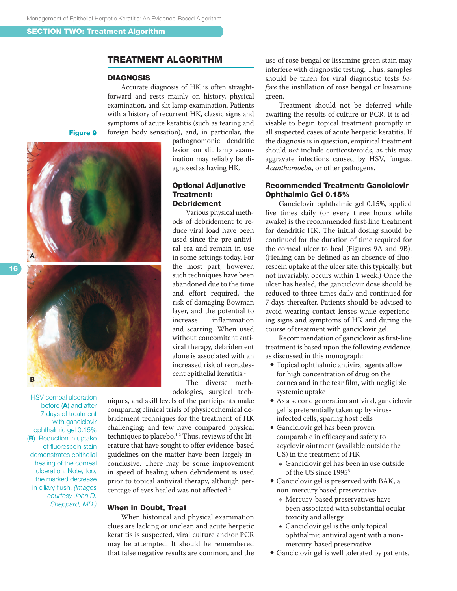#### Treatment Algorithm

#### **DIAGNOSIS**

Accurate diagnosis of HK is often straightforward and rests mainly on history, physical examination, and slit lamp examination. Patients with a history of recurrent HK, classic signs and symptoms of acute keratitis (such as tearing and foreign body sensation), and, in particular, the

Figure 9





HSV corneal ulceration before (A) and after 7 days of treatment with ganciclovir ophthalmic gel 0.15% (B). Reduction in uptake of fluorescein stain demonstrates epithelial healing of the corneal ulceration. Note, too, the marked decrease in ciliary flush. *(Images courtesy John D. Sheppard, MD.)*

pathognomonic dendritic lesion on slit lamp examination may reliably be diagnosed as having HK.

#### Optional Adjunctive Treatment: Debridement

Various physical methods of debridement to reduce viral load have been used since the pre-antiviral era and remain in use in some settings today. For the most part, however, such techniques have been abandoned due to the time and effort required, the risk of damaging Bowman layer, and the potential to<br>increase inflammation inflammation and scarring. When used without concomitant antiviral therapy, debridement alone is associated with an increased risk of recrudescent epithelial keratitis.<sup>1</sup>

The diverse methodologies, surgical tech-

niques, and skill levels of the participants make comparing clinical trials of physicochemical debridement techniques for the treatment of HK challenging; and few have compared physical techniques to placebo.<sup>1,2</sup> Thus, reviews of the literature that have sought to offer evidence-based guidelines on the matter have been largely inconclusive. There may be some improvement in speed of healing when debridement is used prior to topical antiviral therapy, although percentage of eyes healed was not affected.2

#### When in Doubt, Treat

When historical and physical examination clues are lacking or unclear, and acute herpetic keratitis is suspected, viral culture and/or PCR may be attempted. It should be remembered that false negative results are common, and the

use of rose bengal or lissamine green stain may interfere with diagnostic testing. Thus, samples should be taken for viral diagnostic tests *before* the instillation of rose bengal or lissamine green.

Treatment should not be deferred while awaiting the results of culture or PCR. It is advisable to begin topical treatment promptly in all suspected cases of acute herpetic keratitis. If the diagnosis is in question, empirical treatment should *not* include corticosteroids, as this may aggravate infections caused by HSV, fungus, *Acanthamoeba*, or other pathogens.

#### Recommended Treatment: Ganciclovir Ophthalmic Gel 0.15%

Ganciclovir ophthalmic gel 0.15%, applied five times daily (or every three hours while awake) is the recommended first-line treatment for dendritic HK. The initial dosing should be continued for the duration of time required for the corneal ulcer to heal (Figures 9A and 9B). (Healing can be defined as an absence of fluorescein uptake at the ulcer site; this typically, but not invariably, occurs within 1 week.) Once the ulcer has healed, the ganciclovir dose should be reduced to three times daily and continued for 7 days thereafter. Patients should be advised to avoid wearing contact lenses while experiencing signs and symptoms of HK and during the course of treatment with ganciclovir gel.

Recommendation of ganciclovir as first-line treatment is based upon the following evidence, as discussed in this monograph:

- Topical ophthalmic antiviral agents allow for high concentration of drug on the cornea and in the tear film, with negligible systemic uptake
- As a second generation antiviral, ganciclovir gel is preferentially taken up by virusinfected cells, sparing host cells
- Ganciclovir gel has been proven comparable in efficacy and safety to acyclovir ointment (available outside the US) in the treatment of HK
	- $\bullet$  Ganciclovir gel has been in use outside of the US since 1995<sup>3</sup>
- Ganciclovir gel is preserved with BAK, a non-mercury based preservative
	- $\bullet$  Mercury-based preservatives have been associated with substantial ocular toxicity and allergy
	- $\triangleleft$  Ganciclovir gel is the only topical ophthalmic antiviral agent with a nonmercury-based preservative
- Ganciclovir gel is well tolerated by patients,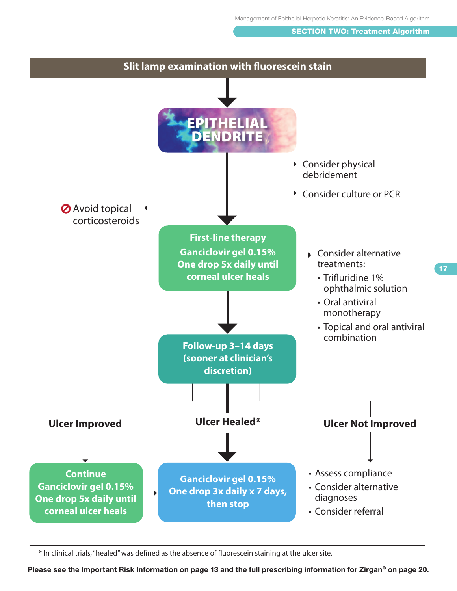#### **SECTION TWO: Treatment Algorithm**



\* In clinical trials, "healed" was defined as the absence of fluorescein staining at the ulcer site.

Please see the Important Risk Information on page 13 and the full prescribing information for Zirgan<sup>®</sup> on page 20.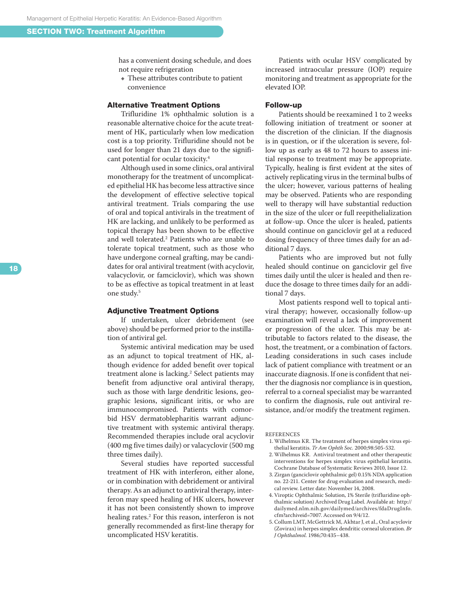has a convenient dosing schedule, and does not require refrigeration

 $\bullet$  These attributes contribute to patient convenience

#### Alternative Treatment Options

Trifluridine 1% ophthalmic solution is a reasonable alternative choice for the acute treat ment of HK, particularly when low medication cost is a top priority. Trifluridine should not be used for longer than 21 days due to the signifi cant potential for ocular toxicity. 4

Although used in some clinics, oral antiviral monotherapy for the treatment of uncomplicat ed epithelial HK has become less attractive since the development of effective selective topical antiviral treatment. Trials comparing the use of oral and topical antivirals in the treatment of HK are lacking, and unlikely to be performed as topical therapy has been shown to be effective and well tolerated. 2 Patients who are unable to tolerate topical treatment, such as those who have undergone corneal grafting, may be candi dates for oral antiviral treatment (with acyclovir, valacyclovir, or famciclovir), which was shown to be as effective as topical treatment in at least one study. 5

#### Adjunctive Treatment Options

If undertaken, ulcer debridement (see above) should be performed prior to the instilla tion of antiviral gel.

Systemic antiviral medication may be used as an adjunct to topical treatment of HK, al though evidence for added benefit over topical treatment alone is lacking. 2 Select patients may benefit from adjunctive oral antiviral therapy, such as those with large dendritic lesions, geo graphic lesions, significant iritis, or who are immunocompromised. Patients with comor bid HSV dermatoblepharitis warrant adjunc tive treatment with systemic antiviral therapy. Recommended therapies include oral acyclovir (400 mg five times daily) or valacyclovir (500 mg three times daily).

Several studies have reported successful treatment of HK with interferon, either alone, or in combination with debridement or antiviral therapy. As an adjunct to antiviral therapy, inter feron may speed healing of HK ulcers, however it has not been consistently shown to improve healing rates. 2 For this reason, interferon is not generally recommended as first-line therapy for uncomplicated HSV keratitis.

Patients with ocular HSV complicated by increased intraocular pressure (IOP) require monitoring and treatment as appropriate for the elevated IOP.

#### Follow-up

Patients should be reexamined 1 to 2 weeks following initiation of treatment or sooner at the discretion of the clinician. If the diagnosis is in question, or if the ulceration is severe, fol low up as early as 48 to 72 hours to assess ini tial response to treatment may be appropriate. Typically, healing is first evident at the sites of actively replicating virus in the terminal bulbs of the ulcer; however, various patterns of healing may be observed. Patients who are responding well to therapy will have substantial reduction in the size of the ulcer or full reepithelialization at follow-up. Once the ulcer is healed, patients should continue on ganciclovir gel at a reduced dosing frequency of three times daily for an ad ditional 7 days.

Patients who are improved but not fully healed should continue on ganciclovir gel five times daily until the ulcer is healed and then re duce the dosage to three times daily for an addi tional 7 days.

Most patients respond well to topical anti viral therapy; however, occasionally follow-up examination will reveal a lack of improvement or progression of the ulcer. This may be at tributable to factors related to the disease, the host, the treatment, or a combination of factors. Leading considerations in such cases include lack of patient compliance with treatment or an inaccurate diagnosis. If one is confident that nei ther the diagnosis nor compliance is in question, referral to a corneal specialist may be warranted to confirm the diagnosis, rule out antiviral re sistance, and/or modify the treatment regimen.

#### references

- 1 . Wilhelmus KR. The treatment of herpes simplex virus epi thelial keratitis. *Tr Am Ophth Soc.* 2000;98:505-532.
- 2 . Wilhelmus KR. Antiviral treatment and other therapeutic interventions for herpes simplex virus epithelial keratitis. Cochrane Database of Systematic Reviews 2010, Issue 12.
- 3 . Zirgan (ganciclovir ophthalmic gel) 0.15% NDA application no. 22-211. Center for drug evaluation and research, medi cal review. Letter date: November 14, 2008.
- 4 . Viroptic Ophthalmic Solution, 1% Sterile (trifluridine oph thalmic solution) Archived Drug Label. Available at: http:// dailymed.nlm.nih.gov/dailymed/archives/fdaDrugInfo. cfm?archiveid=7007. Accessed on 9/4/12.
- 5 . Collum LMT, McGettrick M, Akhtar J, et al., Oral acyclovir (Zovirax) in herpes simplex dendritic corneal ulceration. *Br J Ophthalmol.* 1986;70:435–438.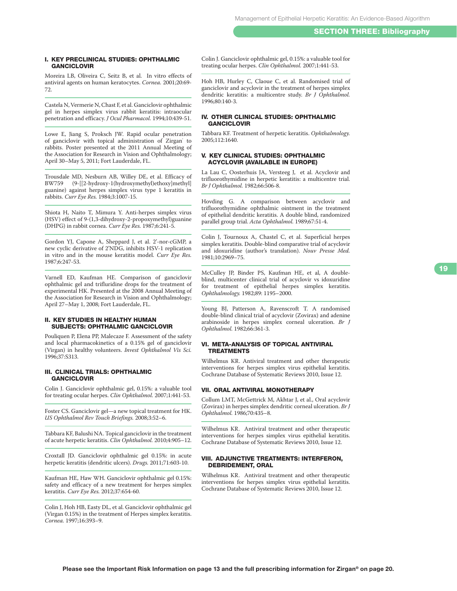#### I. Key preclinical studies: ophthalmic **GANCICLOVIR**

Moreira LB, Oliveira C, Seitz B, et al. In vitro effects of antiviral agents on human keratocytes. *Cornea.* 2001;20:69- 72.

Castela N, Vermerie N, Chast F, et al. Ganciclovir ophthalmic gel in herpes simplex virus rabbit keratitis: intraocular penetration and efficacy. *J Ocul Pharmacol.* 1994;10:439-51.

Lowe E, Jiang S, Proksch JW. Rapid ocular penetration of ganciclovir with topical administration of Zirgan to rabbits. Poster presented at the 2011 Annual Meeting of the Association for Research in Vision and Ophthalmology; April 30–May 5, 2011; Fort Lauderdale, FL.

Trousdale MD, Nesburn AB, Willey DE, et al. Efficacy of BW759 (9-[[2-hydroxy-1(hydroxymethyl)ethoxy]methyl] guanine) against herpes simplex virus type 1 keratitis in rabbits. *Curr Eye Res.* 1984;3:1007-15.

Shiota H, Naito T, Mimura Y. Anti-herpes simplex virus (HSV) effect of 9-(1,3-dihydroxy-2-propoxymethyl)guanine (DHPG) in rabbit cornea. *Curr Eye Res.* 1987;6:241-5.

Gordon YJ, Capone A, Sheppard J, et al. 2'-nor-cGMP, a new cyclic derivative of 2'NDG, inhibits HSV-1 replication in vitro and in the mouse keratitis model. *Curr Eye Res.* 1987;6:247-53.

Varnell ED, Kaufman HE. Comparison of ganciclovir ophthalmic gel and trifluridine drops for the treatment of experimental HK. Presented at the 2008 Annual Meeting of the Association for Research in Vision and Ophthalmology; April 27–May 1, 2008; Fort Lauderdale, FL.

#### II. Key studies in healthy human subjects: ophthalmic gancicloviR

Pouliquen P, Elena PP, Malecaze F. Assessment of the safety and local pharmacokinetics of a 0.15% gel of ganciclovir (Virgan) in healthy volunteers. *Invest Ophthalmol Vis Sci.* 1996;37:S313.

#### III. Clinical Trials: ophthalmic **GANCICLOVIR**

Colin J. Ganciclovir ophthalmic gel, 0.15%: a valuable tool for treating ocular herpes. *Clin Ophthalmol.* 2007;1:441-53.

Foster CS. Ganciclovir gel—a new topical treatment for HK. *US Ophthalmol Rev Touch Briefings.* 2008;3:52–6.

Tabbara KF, Balushi NA. Topical ganciclovir in the treatment of acute herpetic keratitis. *Clin Ophthalmol.* 2010;4:905–12.

Croxtall JD. Ganciclovir ophthalmic gel 0.15%: in acute herpetic keratitis (dendritic ulcers). *Drugs.* 2011;71:603-10.

Kaufman HE, Haw WH. Ganciclovir ophthalmic gel 0.15%: safety and efficacy of a new treatment for herpes simplex keratitis. *Curr Eye Res.* 2012;37:654-60.

Colin J, Hoh HB, Easty DL, et al. Ganciclovir ophthalmic gel (Virgan 0.15%) in the treatment of Herpes simplex keratitis. *Cornea.* 1997;16:393–9.

Colin J. Ganciclovir ophthalmic gel, 0.15%: a valuable tool for treating ocular herpes. *Clin Ophthalmol.* 2007;1:441-53.

Hoh HB, Hurley C, Claoue C, et al. Randomised trial of ganciclovir and acyclovir in the treatment of herpes simplex dendritic keratitis: a multicentre study. *Br J Ophthalmol.*  1996;80:140-3.

#### IV. Other Clinical Studies: Ophthalmic **GANCICLOVIR**

Tabbara KF. Treatment of herpetic keratitis. *Ophthalmology.* 2005;112:1640.

#### V. Key clinical studies: ophthalmic acyclovir (available in EuropE)

La Lau C, Oosterhuis JA, Versteeg J, et al. Acyclovir and trifluorothymidine in herpetic keratitis: a multicentre trial. *Br J Ophthalmol.* 1982;66:506-8.

Hovding G. A comparison between acyclovir and trifluorothymidine ophthalmic ointment in the treatment of epithelial dendritic keratitis. A double blind, randomized parallel group trial. *Acta Ophthalmol.* 1989;67:51-4.

Colin J, Tournoux A, Chastel C, et al. Superficial herpes simplex keratitis. Double-blind comparative trial of acyclovir and idoxuridine (author's translation). *Nouv Presse Med.* 1981;10:2969–75.

McCulley JP, Binder PS, Kaufman HE, et al, A doubleblind, multicenter clinical trial of acyclovir vs idoxuridine for treatment of epithelial herpes simplex keratitis. *Ophthalmology.* 1982;89: 1195–2000.

Young BJ, Patterson A, Ravenscroft T. A randomised double-blind clinical trial of acyclovir (Zovirax) and adenine arabinoside in herpes simplex corneal ulceration. *Br J Ophthalmol.* 1982;66:361-3.

#### VI. Meta-analysis of topical antiviral **TREATMENTS**

Wilhelmus KR. Antiviral treatment and other therapeutic interventions for herpes simplex virus epithelial keratitis. Cochrane Database of Systematic Reviews 2010, Issue 12.

#### VII. Oral antiviral monotherapy

Collum LMT, McGettrick M, Akhtar J, et al., Oral acyclovir (Zovirax) in herpes simplex dendritic corneal ulceration. *Br J Ophthalmol.* 1986;70:435–8.

Wilhelmus KR. Antiviral treatment and other therapeutic interventions for herpes simplex virus epithelial keratitis. Cochrane Database of Systematic Reviews 2010, Issue 12.

#### VIII. Adjunctive Treatments: Interferon, Debridement, Oral

Wilhelmus KR. Antiviral treatment and other therapeutic interventions for herpes simplex virus epithelial keratitis. Cochrane Database of Systematic Reviews 2010, Issue 12.